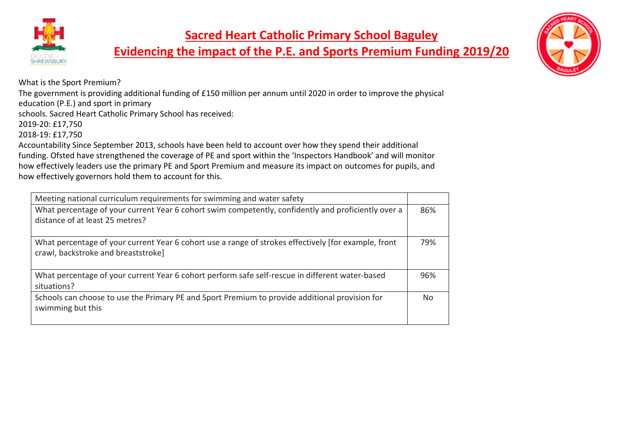

**Evidencing the impact of the P.E. and Sports Premium Funding 2019/20**



What is the Sport Premium?

The government is providing additional funding of £150 million per annum until 2020 in order to improve the physical education (P.E.) and sport in primary

schools. Sacred Heart Catholic Primary School has received:

2019-20: £17,750

2018-19: £17,750

Accountability Since September 2013, schools have been held to account over how they spend their additional funding. Ofsted have strengthened the coverage of PE and sport within the 'Inspectors Handbook' and will monitor how effectively leaders use the primary PE and Sport Premium and measure its impact on outcomes for pupils, and how effectively governors hold them to account for this.

| Meeting national curriculum requirements for swimming and water safety                                                                      |     |
|---------------------------------------------------------------------------------------------------------------------------------------------|-----|
| What percentage of your current Year 6 cohort swim competently, confidently and proficiently over a<br>distance of at least 25 metres?      | 86% |
| What percentage of your current Year 6 cohort use a range of strokes effectively [for example, front<br>crawl, backstroke and breaststroke] | 79% |
| What percentage of your current Year 6 cohort perform safe self-rescue in different water-based<br>situations?                              | 96% |
| Schools can choose to use the Primary PE and Sport Premium to provide additional provision for<br>swimming but this                         | Nο  |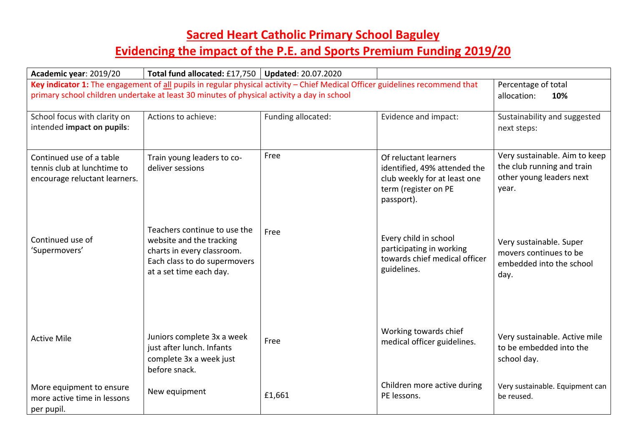| Academic year: 2019/20                                                                   | Total fund allocated: £17,750   Updated: 20.07.2020                                                                                               |                    |                                                                                                                             |                                                                                                  |
|------------------------------------------------------------------------------------------|---------------------------------------------------------------------------------------------------------------------------------------------------|--------------------|-----------------------------------------------------------------------------------------------------------------------------|--------------------------------------------------------------------------------------------------|
|                                                                                          | Key indicator 1: The engagement of all pupils in regular physical activity - Chief Medical Officer guidelines recommend that                      |                    |                                                                                                                             | Percentage of total                                                                              |
|                                                                                          | primary school children undertake at least 30 minutes of physical activity a day in school                                                        |                    |                                                                                                                             | allocation:<br>10%                                                                               |
| School focus with clarity on<br>intended impact on pupils:                               | Actions to achieve:                                                                                                                               | Funding allocated: | Evidence and impact:                                                                                                        | Sustainability and suggested<br>next steps:                                                      |
| Continued use of a table<br>tennis club at lunchtime to<br>encourage reluctant learners. | Train young leaders to co-<br>deliver sessions                                                                                                    | Free               | Of reluctant learners<br>identified, 49% attended the<br>club weekly for at least one<br>term (register on PE<br>passport). | Very sustainable. Aim to keep<br>the club running and train<br>other young leaders next<br>year. |
| Continued use of<br>'Supermovers'                                                        | Teachers continue to use the<br>website and the tracking<br>charts in every classroom.<br>Each class to do supermovers<br>at a set time each day. | Free               | Every child in school<br>participating in working<br>towards chief medical officer<br>guidelines.                           | Very sustainable. Super<br>movers continues to be<br>embedded into the school<br>day.            |
| <b>Active Mile</b>                                                                       | Juniors complete 3x a week<br>just after lunch. Infants<br>complete 3x a week just<br>before snack.                                               | Free               | Working towards chief<br>medical officer guidelines.                                                                        | Very sustainable. Active mile<br>to be embedded into the<br>school day.                          |
| More equipment to ensure<br>more active time in lessons<br>per pupil.                    | New equipment                                                                                                                                     | £1,661             | Children more active during<br>PE lessons.                                                                                  | Very sustainable. Equipment can<br>be reused.                                                    |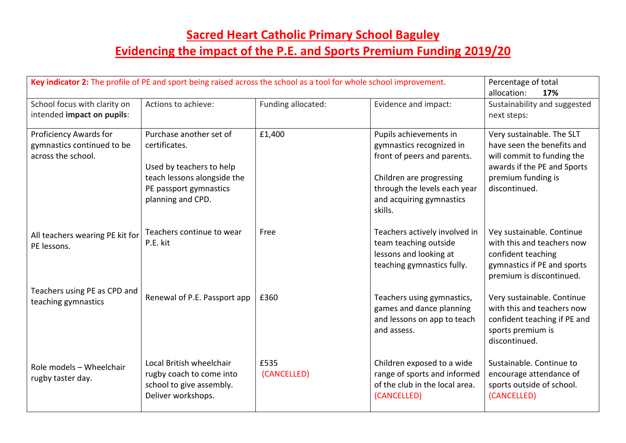## **Sacred Heart Catholic Primary School Baguley Evidencing the impact of the P.E. and Sports Premium Funding 2019/20**

| Key indicator 2: The profile of PE and sport being raised across the school as a tool for whole school improvement. |                                                                                                                                                    |                     |                                                                                                                                                                                      | Percentage of total<br>allocation:<br>17%                                                                                                                   |
|---------------------------------------------------------------------------------------------------------------------|----------------------------------------------------------------------------------------------------------------------------------------------------|---------------------|--------------------------------------------------------------------------------------------------------------------------------------------------------------------------------------|-------------------------------------------------------------------------------------------------------------------------------------------------------------|
| School focus with clarity on<br>intended impact on pupils:                                                          | Actions to achieve:                                                                                                                                | Funding allocated:  | Evidence and impact:                                                                                                                                                                 | Sustainability and suggested<br>next steps:                                                                                                                 |
| Proficiency Awards for<br>gymnastics continued to be<br>across the school.                                          | Purchase another set of<br>certificates.<br>Used by teachers to help<br>teach lessons alongside the<br>PE passport gymnastics<br>planning and CPD. | £1,400              | Pupils achievements in<br>gymnastics recognized in<br>front of peers and parents.<br>Children are progressing<br>through the levels each year<br>and acquiring gymnastics<br>skills. | Very sustainable. The SLT<br>have seen the benefits and<br>will commit to funding the<br>awards if the PE and Sports<br>premium funding is<br>discontinued. |
| All teachers wearing PE kit for<br>PE lessons.                                                                      | Teachers continue to wear<br>P.E. kit                                                                                                              | Free                | Teachers actively involved in<br>team teaching outside<br>lessons and looking at<br>teaching gymnastics fully.                                                                       | Vey sustainable. Continue<br>with this and teachers now<br>confident teaching<br>gymnastics if PE and sports<br>premium is discontinued.                    |
| Teachers using PE as CPD and<br>teaching gymnastics                                                                 | Renewal of P.E. Passport app                                                                                                                       | £360                | Teachers using gymnastics,<br>games and dance planning<br>and lessons on app to teach<br>and assess.                                                                                 | Very sustainable. Continue<br>with this and teachers now<br>confident teaching if PE and<br>sports premium is<br>discontinued.                              |
| Role models - Wheelchair<br>rugby taster day.                                                                       | Local British wheelchair<br>rugby coach to come into<br>school to give assembly.<br>Deliver workshops.                                             | £535<br>(CANCELLED) | Children exposed to a wide<br>range of sports and informed<br>of the club in the local area.<br>(CANCELLED)                                                                          | Sustainable. Continue to<br>encourage attendance of<br>sports outside of school.<br>(CANCELLED)                                                             |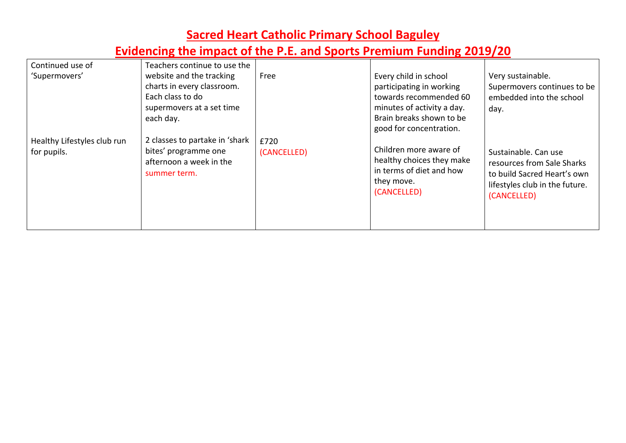| Continued use of                           | Teachers continue to use the                                                                            |                     |                                                                                                              |                                                                                                                                    |
|--------------------------------------------|---------------------------------------------------------------------------------------------------------|---------------------|--------------------------------------------------------------------------------------------------------------|------------------------------------------------------------------------------------------------------------------------------------|
| 'Supermovers'                              | website and the tracking<br>charts in every classroom.<br>Each class to do<br>supermovers at a set time | Free                | Every child in school<br>participating in working<br>towards recommended 60<br>minutes of activity a day.    | Very sustainable.<br>Supermovers continues to be<br>embedded into the school<br>day.                                               |
|                                            | each day.                                                                                               |                     | Brain breaks shown to be<br>good for concentration.                                                          |                                                                                                                                    |
| Healthy Lifestyles club run<br>for pupils. | 2 classes to partake in 'shark<br>bites' programme one<br>afternoon a week in the<br>summer term.       | £720<br>(CANCELLED) | Children more aware of<br>healthy choices they make<br>in terms of diet and how<br>they move.<br>(CANCELLED) | Sustainable, Can use<br>resources from Sale Sharks<br>to build Sacred Heart's own<br>lifestyles club in the future.<br>(CANCELLED) |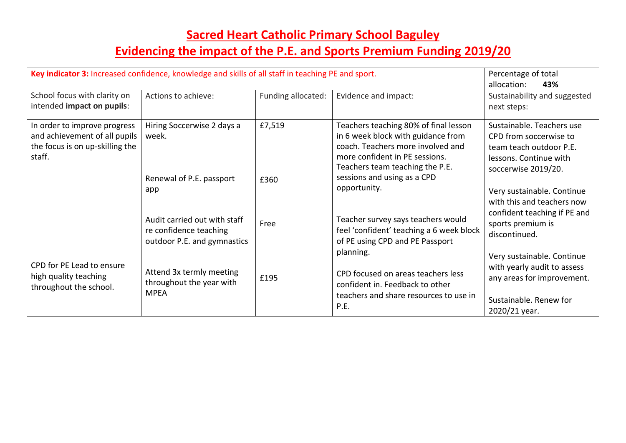| Key indicator 3: Increased confidence, knowledge and skills of all staff in teaching PE and sport.         | Percentage of total<br>allocation:<br>43%                                                    |                    |                                                                                                                                                                                                                                      |                                                                                                                                    |
|------------------------------------------------------------------------------------------------------------|----------------------------------------------------------------------------------------------|--------------------|--------------------------------------------------------------------------------------------------------------------------------------------------------------------------------------------------------------------------------------|------------------------------------------------------------------------------------------------------------------------------------|
| School focus with clarity on<br>intended impact on pupils:                                                 | Actions to achieve:                                                                          | Funding allocated: | Evidence and impact:                                                                                                                                                                                                                 | Sustainability and suggested<br>next steps:                                                                                        |
| In order to improve progress<br>and achievement of all pupils<br>the focus is on up-skilling the<br>staff. | Hiring Soccerwise 2 days a<br>week.<br>Renewal of P.E. passport                              | £7,519<br>£360     | Teachers teaching 80% of final lesson<br>in 6 week block with guidance from<br>coach. Teachers more involved and<br>more confident in PE sessions.<br>Teachers team teaching the P.E.<br>sessions and using as a CPD<br>opportunity. | Sustainable. Teachers use<br>CPD from soccerwise to<br>team teach outdoor P.E.<br>lessons. Continue with<br>soccerwise 2019/20.    |
|                                                                                                            | app<br>Audit carried out with staff<br>re confidence teaching<br>outdoor P.E. and gymnastics | Free               | Teacher survey says teachers would<br>feel 'confident' teaching a 6 week block<br>of PE using CPD and PE Passport                                                                                                                    | Very sustainable. Continue<br>with this and teachers now<br>confident teaching if PE and<br>sports premium is<br>discontinued.     |
| CPD for PE Lead to ensure<br>high quality teaching<br>throughout the school.                               | Attend 3x termly meeting<br>throughout the year with<br><b>MPEA</b>                          | £195               | planning.<br>CPD focused on areas teachers less<br>confident in. Feedback to other<br>teachers and share resources to use in<br>P.E.                                                                                                 | Very sustainable. Continue<br>with yearly audit to assess<br>any areas for improvement.<br>Sustainable, Renew for<br>2020/21 year. |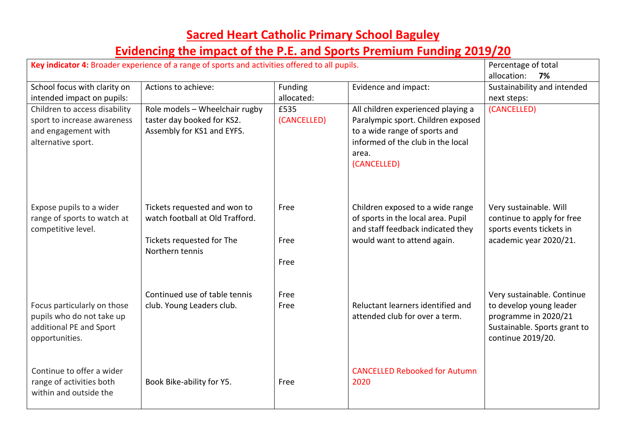| Key indicator 4: Broader experience of a range of sports and activities offered to all pupils.            |                                                                                                                 |                       |                                                                                                                                                                        | Percentage of total<br>allocation:<br>7%                                                                                           |
|-----------------------------------------------------------------------------------------------------------|-----------------------------------------------------------------------------------------------------------------|-----------------------|------------------------------------------------------------------------------------------------------------------------------------------------------------------------|------------------------------------------------------------------------------------------------------------------------------------|
| School focus with clarity on<br>intended impact on pupils:                                                | Actions to achieve:                                                                                             | Funding<br>allocated: | Evidence and impact:                                                                                                                                                   | Sustainability and intended<br>next steps:                                                                                         |
| Children to access disability<br>sport to increase awareness<br>and engagement with<br>alternative sport. | Role models - Wheelchair rugby<br>taster day booked for KS2.<br>Assembly for KS1 and EYFS.                      | £535<br>(CANCELLED)   | All children experienced playing a<br>Paralympic sport. Children exposed<br>to a wide range of sports and<br>informed of the club in the local<br>area.<br>(CANCELLED) | (CANCELLED)                                                                                                                        |
| Expose pupils to a wider<br>range of sports to watch at<br>competitive level.                             | Tickets requested and won to<br>watch football at Old Trafford.<br>Tickets requested for The<br>Northern tennis | Free<br>Free<br>Free  | Children exposed to a wide range<br>of sports in the local area. Pupil<br>and staff feedback indicated they<br>would want to attend again.                             | Very sustainable. Will<br>continue to apply for free<br>sports events tickets in<br>academic year 2020/21.                         |
| Focus particularly on those<br>pupils who do not take up<br>additional PE and Sport<br>opportunities.     | Continued use of table tennis<br>club. Young Leaders club.                                                      | Free<br>Free          | Reluctant learners identified and<br>attended club for over a term.                                                                                                    | Very sustainable. Continue<br>to develop young leader<br>programme in 2020/21<br>Sustainable. Sports grant to<br>continue 2019/20. |
| Continue to offer a wider<br>range of activities both<br>within and outside the                           | Book Bike-ability for Y5.                                                                                       | Free                  | <b>CANCELLED Rebooked for Autumn</b><br>2020                                                                                                                           |                                                                                                                                    |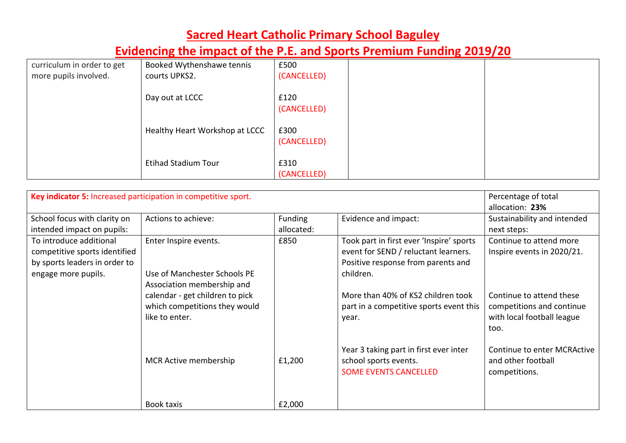| curriculum in order to get | Booked Wythenshawe tennis      | £500        |  |
|----------------------------|--------------------------------|-------------|--|
| more pupils involved.      | courts UPKS2.                  | (CANCELLED) |  |
|                            |                                |             |  |
|                            | Day out at LCCC                | £120        |  |
|                            |                                | (CANCELLED) |  |
|                            |                                |             |  |
|                            | Healthy Heart Workshop at LCCC | £300        |  |
|                            |                                | (CANCELLED) |  |
|                            |                                |             |  |
|                            | <b>Etihad Stadium Tour</b>     | £310        |  |
|                            |                                | (CANCELLED) |  |

| Key indicator 5: Increased participation in competitive sport. | Percentage of total             |                |                                          |                             |
|----------------------------------------------------------------|---------------------------------|----------------|------------------------------------------|-----------------------------|
|                                                                |                                 |                |                                          | allocation: 23%             |
| School focus with clarity on                                   | Actions to achieve:             | <b>Funding</b> | Evidence and impact:                     | Sustainability and intended |
| intended impact on pupils:                                     |                                 | allocated:     |                                          | next steps:                 |
| To introduce additional                                        | Enter Inspire events.           | £850           | Took part in first ever 'Inspire' sports | Continue to attend more     |
| competitive sports identified                                  |                                 |                | event for SEND / reluctant learners.     | Inspire events in 2020/21.  |
| by sports leaders in order to                                  |                                 |                | Positive response from parents and       |                             |
| engage more pupils.                                            | Use of Manchester Schools PE    |                | children.                                |                             |
|                                                                | Association membership and      |                |                                          |                             |
|                                                                | calendar - get children to pick |                | More than 40% of KS2 children took       | Continue to attend these    |
|                                                                | which competitions they would   |                | part in a competitive sports event this  | competitions and continue   |
|                                                                | like to enter.                  |                | year.                                    | with local football league  |
|                                                                |                                 |                |                                          | too.                        |
|                                                                |                                 |                |                                          |                             |
|                                                                |                                 |                | Year 3 taking part in first ever inter   | Continue to enter MCRActive |
|                                                                | MCR Active membership           | £1,200         | school sports events.                    | and other football          |
|                                                                |                                 |                | <b>SOME EVENTS CANCELLED</b>             | competitions.               |
|                                                                |                                 |                |                                          |                             |
|                                                                |                                 |                |                                          |                             |
|                                                                | Book taxis                      | £2,000         |                                          |                             |